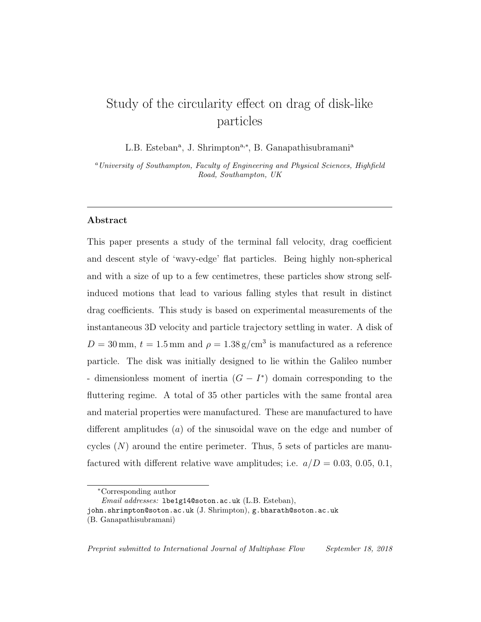# Study of the circularity effect on drag of disk-like particles

L.B. Esteban<sup>a</sup>, J. Shrimpton<sup>a,\*</sup>, B. Ganapathisubramani<sup>a</sup>

<sup>a</sup>University of Southampton, Faculty of Engineering and Physical Sciences, Highfield Road, Southampton, UK

# Abstract

This paper presents a study of the terminal fall velocity, drag coefficient and descent style of 'wavy-edge' flat particles. Being highly non-spherical and with a size of up to a few centimetres, these particles show strong selfinduced motions that lead to various falling styles that result in distinct drag coefficients. This study is based on experimental measurements of the instantaneous 3D velocity and particle trajectory settling in water. A disk of  $D = 30$  mm,  $t = 1.5$  mm and  $\rho = 1.38$  g/cm<sup>3</sup> is manufactured as a reference particle. The disk was initially designed to lie within the Galileo number - dimensionless moment of inertia  $(G - I^*)$  domain corresponding to the fluttering regime. A total of 35 other particles with the same frontal area and material properties were manufactured. These are manufactured to have different amplitudes  $(a)$  of the sinusoidal wave on the edge and number of cycles  $(N)$  around the entire perimeter. Thus, 5 sets of particles are manufactured with different relative wave amplitudes; i.e.  $a/D = 0.03, 0.05, 0.1,$ 

<sup>∗</sup>Corresponding author

Email addresses: lbe1g14@soton.ac.uk (L.B. Esteban),

john.shrimpton@soton.ac.uk (J. Shrimpton), g.bharath@soton.ac.uk

<sup>(</sup>B. Ganapathisubramani)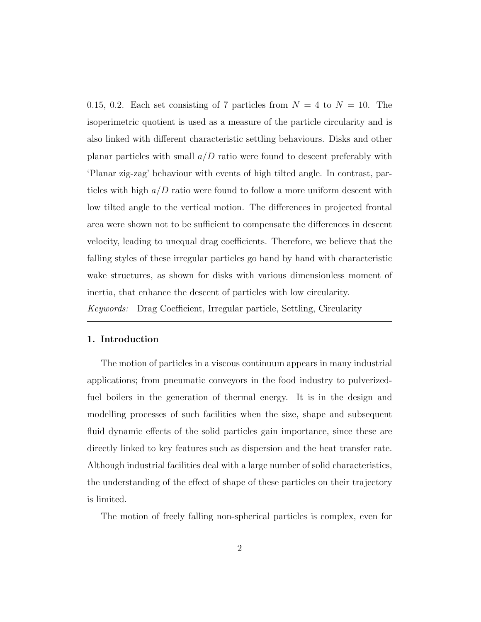0.15, 0.2. Each set consisting of 7 particles from  $N = 4$  to  $N = 10$ . The isoperimetric quotient is used as a measure of the particle circularity and is also linked with different characteristic settling behaviours. Disks and other planar particles with small  $a/D$  ratio were found to descent preferably with 'Planar zig-zag' behaviour with events of high tilted angle. In contrast, particles with high  $a/D$  ratio were found to follow a more uniform descent with low tilted angle to the vertical motion. The differences in projected frontal area were shown not to be sufficient to compensate the differences in descent velocity, leading to unequal drag coefficients. Therefore, we believe that the falling styles of these irregular particles go hand by hand with characteristic wake structures, as shown for disks with various dimensionless moment of inertia, that enhance the descent of particles with low circularity.

Keywords: Drag Coefficient, Irregular particle, Settling, Circularity

# 1. Introduction

The motion of particles in a viscous continuum appears in many industrial applications; from pneumatic conveyors in the food industry to pulverizedfuel boilers in the generation of thermal energy. It is in the design and modelling processes of such facilities when the size, shape and subsequent fluid dynamic effects of the solid particles gain importance, since these are directly linked to key features such as dispersion and the heat transfer rate. Although industrial facilities deal with a large number of solid characteristics, the understanding of the effect of shape of these particles on their trajectory is limited.

The motion of freely falling non-spherical particles is complex, even for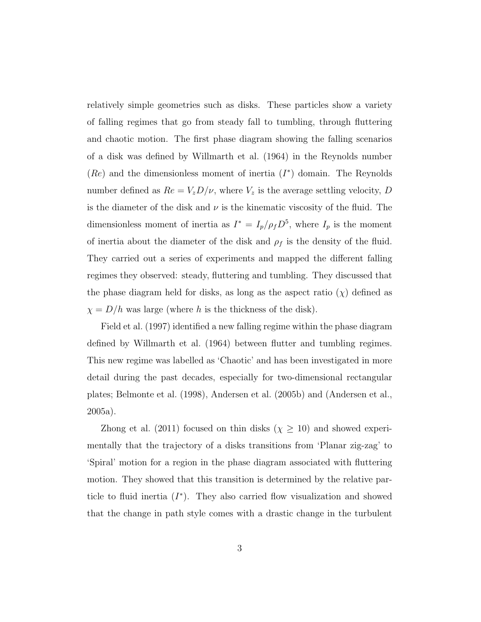relatively simple geometries such as disks. These particles show a variety of falling regimes that go from steady fall to tumbling, through fluttering and chaotic motion. The first phase diagram showing the falling scenarios of a disk was defined by Willmarth et al. (1964) in the Reynolds number  $(Re)$  and the dimensionless moment of inertia  $(I^*)$  domain. The Reynolds number defined as  $Re = V_z D/\nu$ , where  $V_z$  is the average settling velocity, D is the diameter of the disk and  $\nu$  is the kinematic viscosity of the fluid. The dimensionless moment of inertia as  $I^* = I_p/\rho_f D^5$ , where  $I_p$  is the moment of inertia about the diameter of the disk and  $\rho_f$  is the density of the fluid. They carried out a series of experiments and mapped the different falling regimes they observed: steady, fluttering and tumbling. They discussed that the phase diagram held for disks, as long as the aspect ratio  $(\chi)$  defined as  $\chi = D/h$  was large (where h is the thickness of the disk).

Field et al. (1997) identified a new falling regime within the phase diagram defined by Willmarth et al. (1964) between flutter and tumbling regimes. This new regime was labelled as 'Chaotic' and has been investigated in more detail during the past decades, especially for two-dimensional rectangular plates; Belmonte et al. (1998), Andersen et al. (2005b) and (Andersen et al., 2005a).

Zhong et al. (2011) focused on thin disks ( $\chi \geq 10$ ) and showed experimentally that the trajectory of a disks transitions from 'Planar zig-zag' to 'Spiral' motion for a region in the phase diagram associated with fluttering motion. They showed that this transition is determined by the relative particle to fluid inertia  $(I^*)$ . They also carried flow visualization and showed that the change in path style comes with a drastic change in the turbulent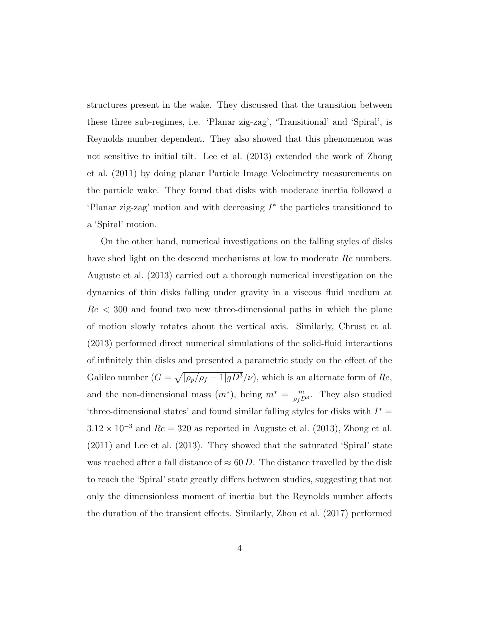structures present in the wake. They discussed that the transition between these three sub-regimes, i.e. 'Planar zig-zag', 'Transitional' and 'Spiral', is Reynolds number dependent. They also showed that this phenomenon was not sensitive to initial tilt. Lee et al. (2013) extended the work of Zhong et al. (2011) by doing planar Particle Image Velocimetry measurements on the particle wake. They found that disks with moderate inertia followed a 'Planar zig-zag' motion and with decreasing  $I^*$  the particles transitioned to a 'Spiral' motion.

On the other hand, numerical investigations on the falling styles of disks have shed light on the descend mechanisms at low to moderate Re numbers. Auguste et al. (2013) carried out a thorough numerical investigation on the dynamics of thin disks falling under gravity in a viscous fluid medium at  $Re < 300$  and found two new three-dimensional paths in which the plane of motion slowly rotates about the vertical axis. Similarly, Chrust et al. (2013) performed direct numerical simulations of the solid-fluid interactions of infinitely thin disks and presented a parametric study on the effect of the Galileo number  $(G = \sqrt{\sqrt{\rho_p/\rho_f - 1}})gD^3(\nu)$ , which is an alternate form of  $Re$ , and the non-dimensional mass  $(m^*)$ , being  $m^* = \frac{m}{m}$  $\frac{m}{\rho_f D^3}$ . They also studied 'three-dimensional states' and found similar falling styles for disks with  $I^* =$  $3.12 \times 10^{-3}$  and  $Re = 320$  as reported in Auguste et al. (2013), Zhong et al. (2011) and Lee et al. (2013). They showed that the saturated 'Spiral' state was reached after a fall distance of  $\approx 60 D$ . The distance travelled by the disk to reach the 'Spiral' state greatly differs between studies, suggesting that not only the dimensionless moment of inertia but the Reynolds number affects the duration of the transient effects. Similarly, Zhou et al. (2017) performed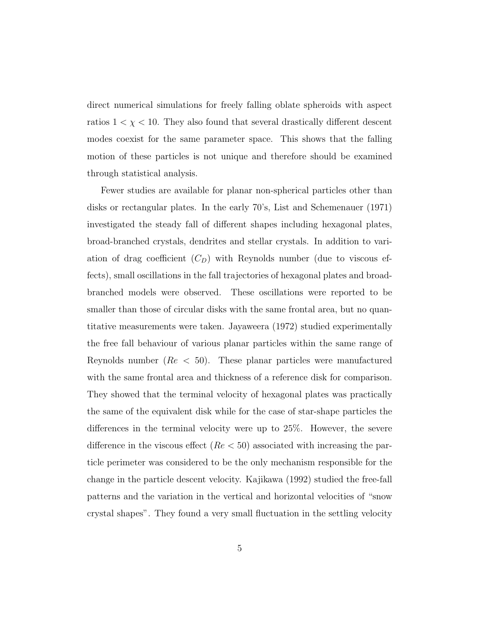direct numerical simulations for freely falling oblate spheroids with aspect ratios  $1 < \chi < 10$ . They also found that several drastically different descent modes coexist for the same parameter space. This shows that the falling motion of these particles is not unique and therefore should be examined through statistical analysis.

Fewer studies are available for planar non-spherical particles other than disks or rectangular plates. In the early 70's, List and Schemenauer (1971) investigated the steady fall of different shapes including hexagonal plates, broad-branched crystals, dendrites and stellar crystals. In addition to variation of drag coefficient  $(C_D)$  with Reynolds number (due to viscous effects), small oscillations in the fall trajectories of hexagonal plates and broadbranched models were observed. These oscillations were reported to be smaller than those of circular disks with the same frontal area, but no quantitative measurements were taken. Jayaweera (1972) studied experimentally the free fall behaviour of various planar particles within the same range of Reynolds number ( $Re < 50$ ). These planar particles were manufactured with the same frontal area and thickness of a reference disk for comparison. They showed that the terminal velocity of hexagonal plates was practically the same of the equivalent disk while for the case of star-shape particles the differences in the terminal velocity were up to 25%. However, the severe difference in the viscous effect  $(Re < 50)$  associated with increasing the particle perimeter was considered to be the only mechanism responsible for the change in the particle descent velocity. Kajikawa (1992) studied the free-fall patterns and the variation in the vertical and horizontal velocities of "snow crystal shapes". They found a very small fluctuation in the settling velocity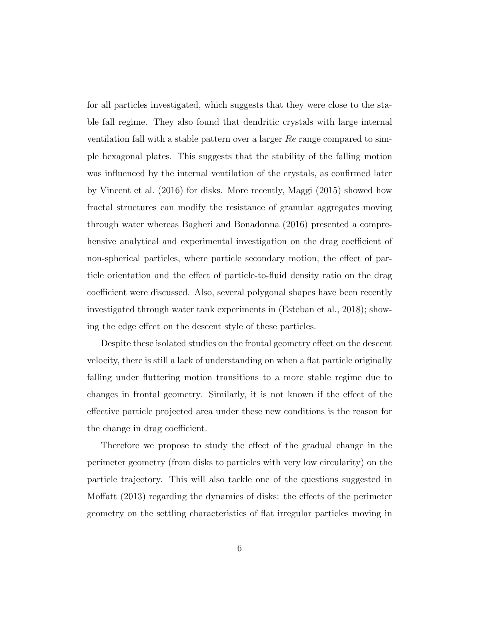for all particles investigated, which suggests that they were close to the stable fall regime. They also found that dendritic crystals with large internal ventilation fall with a stable pattern over a larger Re range compared to simple hexagonal plates. This suggests that the stability of the falling motion was influenced by the internal ventilation of the crystals, as confirmed later by Vincent et al. (2016) for disks. More recently, Maggi (2015) showed how fractal structures can modify the resistance of granular aggregates moving through water whereas Bagheri and Bonadonna (2016) presented a comprehensive analytical and experimental investigation on the drag coefficient of non-spherical particles, where particle secondary motion, the effect of particle orientation and the effect of particle-to-fluid density ratio on the drag coefficient were discussed. Also, several polygonal shapes have been recently investigated through water tank experiments in (Esteban et al., 2018); showing the edge effect on the descent style of these particles.

Despite these isolated studies on the frontal geometry effect on the descent velocity, there is still a lack of understanding on when a flat particle originally falling under fluttering motion transitions to a more stable regime due to changes in frontal geometry. Similarly, it is not known if the effect of the effective particle projected area under these new conditions is the reason for the change in drag coefficient.

Therefore we propose to study the effect of the gradual change in the perimeter geometry (from disks to particles with very low circularity) on the particle trajectory. This will also tackle one of the questions suggested in Moffatt (2013) regarding the dynamics of disks: the effects of the perimeter geometry on the settling characteristics of flat irregular particles moving in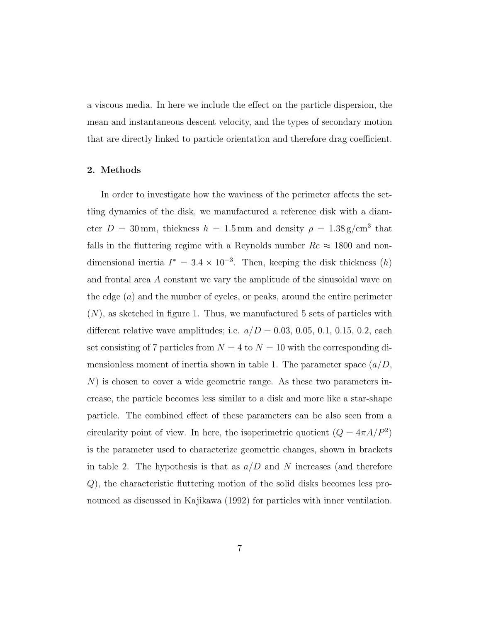a viscous media. In here we include the effect on the particle dispersion, the mean and instantaneous descent velocity, and the types of secondary motion that are directly linked to particle orientation and therefore drag coefficient.

# 2. Methods

In order to investigate how the waviness of the perimeter affects the settling dynamics of the disk, we manufactured a reference disk with a diameter  $D = 30$  mm, thickness  $h = 1.5$  mm and density  $\rho = 1.38$  g/cm<sup>3</sup> that falls in the fluttering regime with a Reynolds number  $Re \approx 1800$  and nondimensional inertia  $I^* = 3.4 \times 10^{-3}$ . Then, keeping the disk thickness  $(h)$ and frontal area A constant we vary the amplitude of the sinusoidal wave on the edge  $(a)$  and the number of cycles, or peaks, around the entire perimeter  $(N)$ , as sketched in figure 1. Thus, we manufactured 5 sets of particles with different relative wave amplitudes; i.e.  $a/D = 0.03, 0.05, 0.1, 0.15, 0.2,$  each set consisting of 7 particles from  $N = 4$  to  $N = 10$  with the corresponding dimensionless moment of inertia shown in table 1. The parameter space  $(a/D,$ N) is chosen to cover a wide geometric range. As these two parameters increase, the particle becomes less similar to a disk and more like a star-shape particle. The combined effect of these parameters can be also seen from a circularity point of view. In here, the isoperimetric quotient  $(Q = 4\pi A/P^2)$ is the parameter used to characterize geometric changes, shown in brackets in table 2. The hypothesis is that as  $a/D$  and N increases (and therefore Q), the characteristic fluttering motion of the solid disks becomes less pronounced as discussed in Kajikawa (1992) for particles with inner ventilation.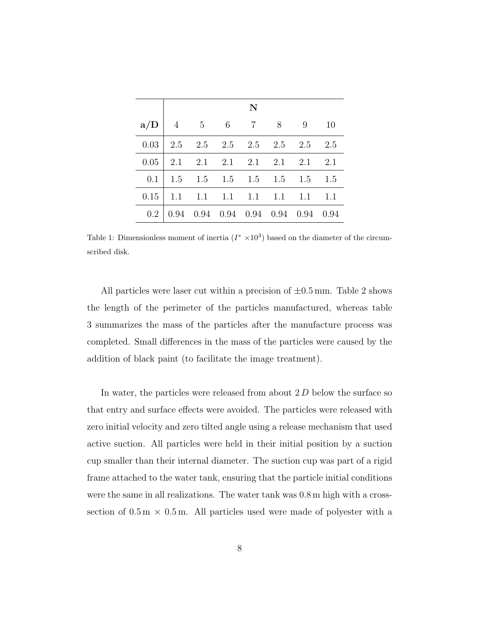|      | N |                                                                                                         |  |  |  |  |    |  |  |
|------|---|---------------------------------------------------------------------------------------------------------|--|--|--|--|----|--|--|
| a/D  |   | 4 5 6 7 8 9                                                                                             |  |  |  |  | 10 |  |  |
| 0.03 |   | $\begin{array}{cccccc} \n\vert 2.5 & 2.5 & 2.5 & 2.5 & 2.5 & 2.5 & 2.5 \n\end{array}$                   |  |  |  |  |    |  |  |
| 0.05 |   | $\begin{array}{cccccc} \n\begin{array}{cccccc} 2.1 & 2.1 & 2.1 & 2.1 & 2.1 & 2.1 & 2.1 & \n\end{array}$ |  |  |  |  |    |  |  |
| 0.1  |   | $\vert$ 1.5 1.5 1.5 1.5 1.5 1.5 1.5                                                                     |  |  |  |  |    |  |  |
| 0.15 |   | $\begin{bmatrix} 1.1 & 1.1 & 1.1 & 1.1 & 1.1 & 1.1 & 1.1 \end{bmatrix}$                                 |  |  |  |  |    |  |  |
| 0.2  |   | $0.94$ $0.94$ $0.94$ $0.94$ $0.94$ $0.94$ $0.94$                                                        |  |  |  |  |    |  |  |

Table 1: Dimensionless moment of inertia  $(I^* \times 10^3)$  based on the diameter of the circumscribed disk.

All particles were laser cut within a precision of  $\pm 0.5$  mm. Table 2 shows the length of the perimeter of the particles manufactured, whereas table 3 summarizes the mass of the particles after the manufacture process was completed. Small differences in the mass of the particles were caused by the addition of black paint (to facilitate the image treatment).

In water, the particles were released from about 2 D below the surface so that entry and surface effects were avoided. The particles were released with zero initial velocity and zero tilted angle using a release mechanism that used active suction. All particles were held in their initial position by a suction cup smaller than their internal diameter. The suction cup was part of a rigid frame attached to the water tank, ensuring that the particle initial conditions were the same in all realizations. The water tank was 0.8 m high with a crosssection of  $0.5 \text{ m} \times 0.5 \text{ m}$ . All particles used were made of polyester with a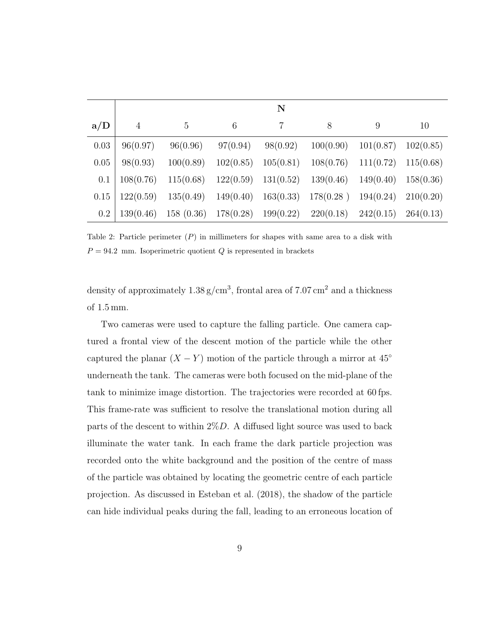|         | $\bf N$   |           |                         |           |                                                             |           |           |  |  |
|---------|-----------|-----------|-------------------------|-----------|-------------------------------------------------------------|-----------|-----------|--|--|
| a/D     | 4         | 5         | 6                       |           | 8                                                           | 9         | 10        |  |  |
| 0.03    | 96(0.97)  | 96(0.96)  | 97(0.94)                | 98(0.92)  | 100(0.90)                                                   | 101(0.87) | 102(0.85) |  |  |
| 0.05    | 98(0.93)  | 100(0.89) | 102(0.85)               | 105(0.81) | 108(0.76)                                                   | 111(0.72) | 115(0.68) |  |  |
| 0.1     | 108(0.76) | 115(0.68) | $122(0.59)$ $131(0.52)$ |           | 139(0.46)                                                   | 149(0.40) | 158(0.36) |  |  |
| 0.15    | 122(0.59) |           |                         |           | $135(0.49)$ $149(0.40)$ $163(0.33)$ $178(0.28)$             | 194(0.24) | 210(0.20) |  |  |
| $0.2\,$ | 139(0.46) |           |                         |           | $158(0.36)$ $178(0.28)$ $199(0.22)$ $220(0.18)$ $242(0.15)$ |           | 264(0.13) |  |  |

Table 2: Particle perimeter  $(P)$  in millimeters for shapes with same area to a disk with  $P = 94.2$  mm. Isoperimetric quotient Q is represented in brackets

density of approximately  $1.38 \text{ g/cm}^3$ , frontal area of 7.07 cm<sup>2</sup> and a thickness of 1.5 mm.

Two cameras were used to capture the falling particle. One camera captured a frontal view of the descent motion of the particle while the other captured the planar  $(X - Y)$  motion of the particle through a mirror at 45<sup>°</sup> underneath the tank. The cameras were both focused on the mid-plane of the tank to minimize image distortion. The trajectories were recorded at 60 fps. This frame-rate was sufficient to resolve the translational motion during all parts of the descent to within  $2\%D$ . A diffused light source was used to back illuminate the water tank. In each frame the dark particle projection was recorded onto the white background and the position of the centre of mass of the particle was obtained by locating the geometric centre of each particle projection. As discussed in Esteban et al. (2018), the shadow of the particle can hide individual peaks during the fall, leading to an erroneous location of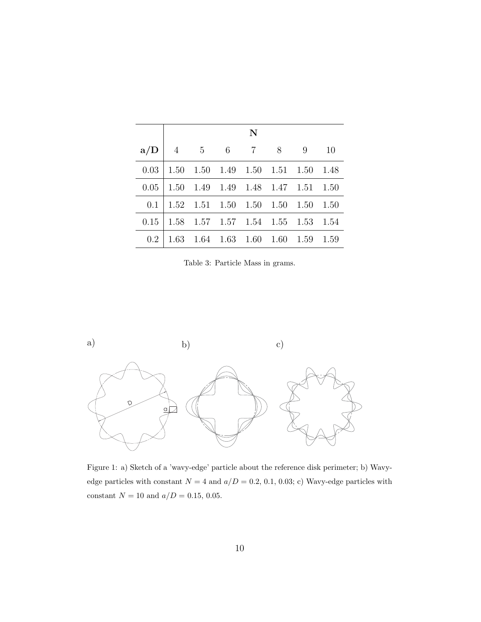|      | N              |             |  |                                                    |  |                                    |        |  |  |
|------|----------------|-------------|--|----------------------------------------------------|--|------------------------------------|--------|--|--|
| a/D  | $\overline{4}$ | $5\qquad 6$ |  | 7 8                                                |  | -9                                 | 10     |  |  |
| 0.03 |                |             |  | $1.50 \quad 1.50 \quad 1.49 \quad 1.50 \quad 1.51$ |  | 1.50                               | - 1.48 |  |  |
| 0.05 |                |             |  |                                                    |  | 1.50 1.49 1.49 1.48 1.47 1.51 1.50 |        |  |  |
| 0.1  |                |             |  | $1.52 \quad 1.51 \quad 1.50 \quad 1.50 \quad 1.50$ |  | 1.50                               | 1.50   |  |  |
| 0.15 |                |             |  |                                                    |  | 1.58 1.57 1.57 1.54 1.55 1.53 1.54 |        |  |  |
| 0.2  | 1.63           |             |  | $1.64$ $1.63$ $1.60$ $1.60$                        |  | 1.59                               | 1.59   |  |  |

Table 3: Particle Mass in grams.



edge particles with constant  $N = 4$  and  $a/D = 0.2, 0.1, 0.03; c)$  Wavy-edge particles with Figure 1: a) Sketch of a 'wavy-edge' particle about the reference disk perimeter; b) Wavyconstant  $N=10$  and  $a/D=0.15,\,0.05.$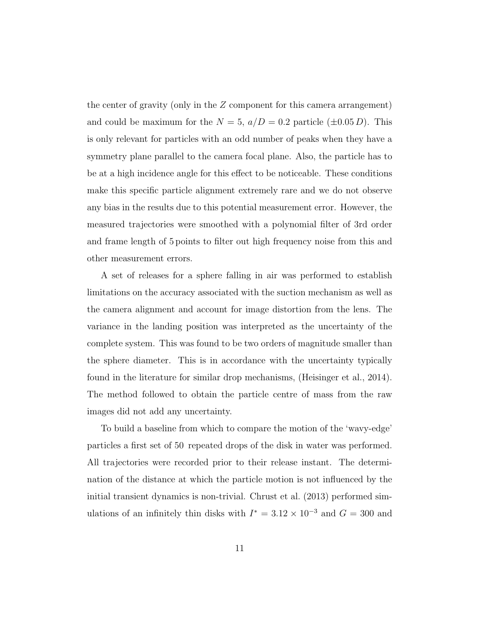the center of gravity (only in the Z component for this camera arrangement) and could be maximum for the  $N = 5$ ,  $a/D = 0.2$  particle  $(\pm 0.05 D)$ . This is only relevant for particles with an odd number of peaks when they have a symmetry plane parallel to the camera focal plane. Also, the particle has to be at a high incidence angle for this effect to be noticeable. These conditions make this specific particle alignment extremely rare and we do not observe any bias in the results due to this potential measurement error. However, the measured trajectories were smoothed with a polynomial filter of 3rd order and frame length of 5 points to filter out high frequency noise from this and other measurement errors.

A set of releases for a sphere falling in air was performed to establish limitations on the accuracy associated with the suction mechanism as well as the camera alignment and account for image distortion from the lens. The variance in the landing position was interpreted as the uncertainty of the complete system. This was found to be two orders of magnitude smaller than the sphere diameter. This is in accordance with the uncertainty typically found in the literature for similar drop mechanisms, (Heisinger et al., 2014). The method followed to obtain the particle centre of mass from the raw images did not add any uncertainty.

To build a baseline from which to compare the motion of the 'wavy-edge' particles a first set of 50 repeated drops of the disk in water was performed. All trajectories were recorded prior to their release instant. The determination of the distance at which the particle motion is not influenced by the initial transient dynamics is non-trivial. Chrust et al. (2013) performed simulations of an infinitely thin disks with  $I^* = 3.12 \times 10^{-3}$  and  $G = 300$  and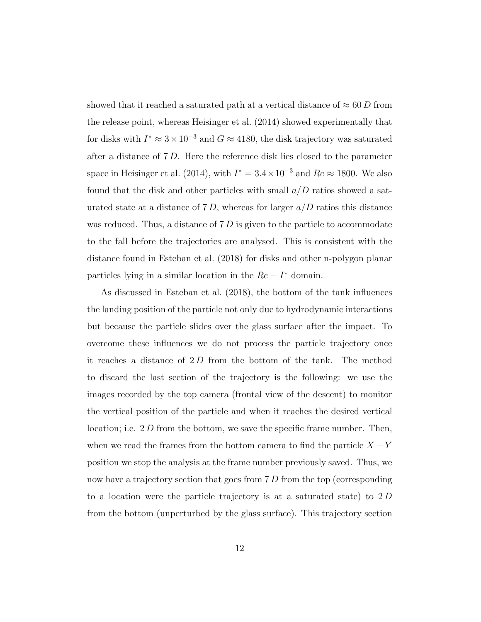showed that it reached a saturated path at a vertical distance of  $\approx 60 D$  from the release point, whereas Heisinger et al. (2014) showed experimentally that for disks with  $I^* \approx 3 \times 10^{-3}$  and  $G \approx 4180$ , the disk trajectory was saturated after a distance of 7 D. Here the reference disk lies closed to the parameter space in Heisinger et al. (2014), with  $I^* = 3.4 \times 10^{-3}$  and  $Re \approx 1800$ . We also found that the disk and other particles with small  $a/D$  ratios showed a saturated state at a distance of 7 D, whereas for larger  $a/D$  ratios this distance was reduced. Thus, a distance of  $7 D$  is given to the particle to accommodate to the fall before the trajectories are analysed. This is consistent with the distance found in Esteban et al. (2018) for disks and other n-polygon planar particles lying in a similar location in the  $Re - I^*$  domain.

As discussed in Esteban et al. (2018), the bottom of the tank influences the landing position of the particle not only due to hydrodynamic interactions but because the particle slides over the glass surface after the impact. To overcome these influences we do not process the particle trajectory once it reaches a distance of  $2D$  from the bottom of the tank. The method to discard the last section of the trajectory is the following: we use the images recorded by the top camera (frontal view of the descent) to monitor the vertical position of the particle and when it reaches the desired vertical location; i.e.  $2 D$  from the bottom, we save the specific frame number. Then, when we read the frames from the bottom camera to find the particle  $X - Y$ position we stop the analysis at the frame number previously saved. Thus, we now have a trajectory section that goes from 7 D from the top (corresponding to a location were the particle trajectory is at a saturated state) to 2 D from the bottom (unperturbed by the glass surface). This trajectory section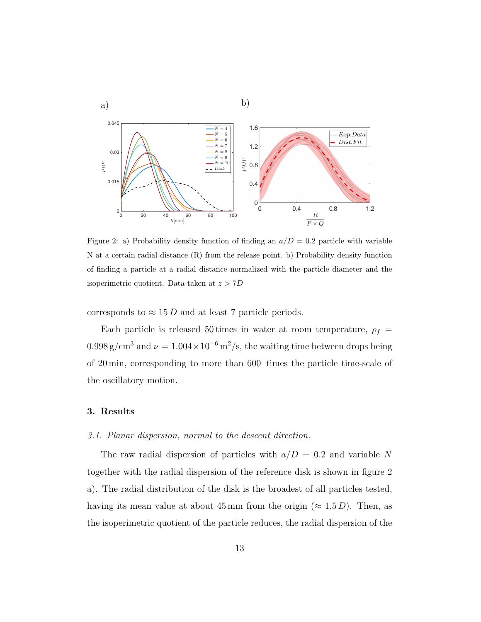

Figure 2: a) Probability density function of finding an  $a/D = 0.2$  particle with variable N at a certain radial distance (R) from the release point. b) Probability density function of finding a particle at a radial distance normalized with the particle diameter and the isoperimetric quotient. Data taken at  $z > 7D$ 

corresponds to  $\approx 15 D$  and at least 7 particle periods.

Each particle is released 50 times in water at room temperature,  $\rho_f$  =  $0.998 \text{ g/cm}^3$  and  $\nu = 1.004 \times 10^{-6} \text{ m}^2/\text{s}$ , the waiting time between drops being of 20 min, corresponding to more than 600 times the particle time-scale of the oscillatory motion.

# 3. Results

# 3.1. Planar dispersion, normal to the descent direction.

The raw radial dispersion of particles with  $a/D = 0.2$  and variable N together with the radial dispersion of the reference disk is shown in figure 2 a). The radial distribution of the disk is the broadest of all particles tested, having its mean value at about 45 mm from the origin ( $\approx 1.5 D$ ). Then, as the isoperimetric quotient of the particle reduces, the radial dispersion of the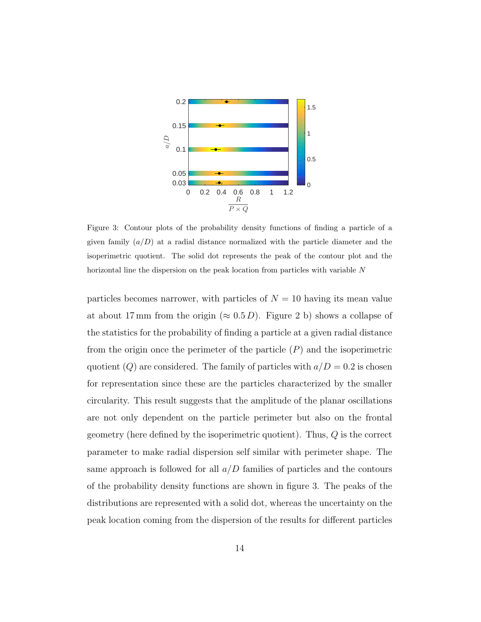

Figure 3: Contour plots of the probability density functions of finding a particle of a given family  $(a/D)$  at a radial distance normalized with the particle diameter and the isoperimetric quotient. The solid dot represents the peak of the contour plot and the horizontal line the dispersion on the peak location from particles with variable N

particles becomes narrower, with particles of  $N = 10$  having its mean value at about 17 mm from the origin ( $\approx 0.5 D$ ). Figure 2 b) shows a collapse of the statistics for the probability of finding a particle at a given radial distance from the origin once the perimeter of the particle  $(P)$  and the isoperimetric quotient  $(Q)$  are considered. The family of particles with  $a/D = 0.2$  is chosen for representation since these are the particles characterized by the smaller circularity. This result suggests that the amplitude of the planar oscillations are not only dependent on the particle perimeter but also on the frontal geometry (here defined by the isoperimetric quotient). Thus,  $Q$  is the correct parameter to make radial dispersion self similar with perimeter shape. The same approach is followed for all  $a/D$  families of particles and the contours of the probability density functions are shown in figure 3. The peaks of the distributions are represented with a solid dot, whereas the uncertainty on the peak location coming from the dispersion of the results for different particles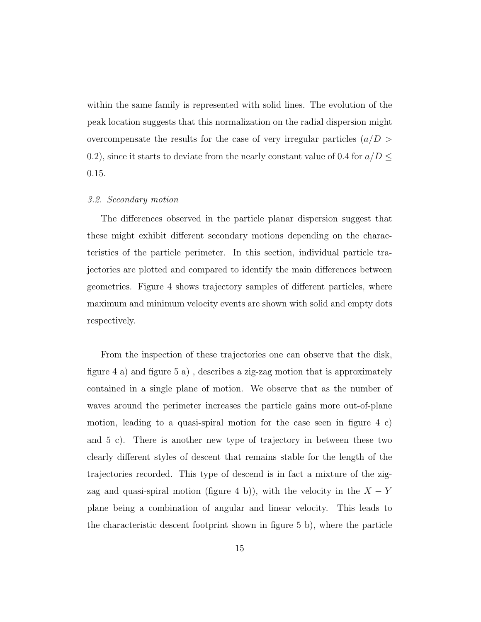within the same family is represented with solid lines. The evolution of the peak location suggests that this normalization on the radial dispersion might overcompensate the results for the case of very irregular particles  $(a/D > a)$ 0.2), since it starts to deviate from the nearly constant value of 0.4 for  $a/D \leq$ 0.15.

# 3.2. Secondary motion

The differences observed in the particle planar dispersion suggest that these might exhibit different secondary motions depending on the characteristics of the particle perimeter. In this section, individual particle trajectories are plotted and compared to identify the main differences between geometries. Figure 4 shows trajectory samples of different particles, where maximum and minimum velocity events are shown with solid and empty dots respectively.

From the inspection of these trajectories one can observe that the disk, figure 4 a) and figure 5 a) , describes a zig-zag motion that is approximately contained in a single plane of motion. We observe that as the number of waves around the perimeter increases the particle gains more out-of-plane motion, leading to a quasi-spiral motion for the case seen in figure 4 c) and 5 c). There is another new type of trajectory in between these two clearly different styles of descent that remains stable for the length of the trajectories recorded. This type of descend is in fact a mixture of the zigzag and quasi-spiral motion (figure 4 b)), with the velocity in the  $X - Y$ plane being a combination of angular and linear velocity. This leads to the characteristic descent footprint shown in figure 5 b), where the particle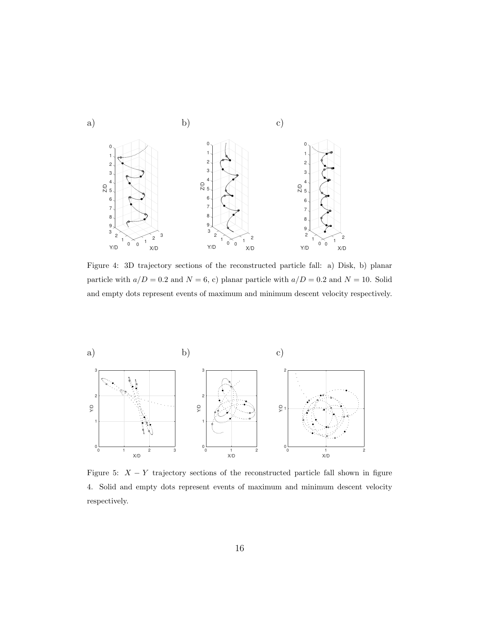

Figure 4: 3D trajectory sections of the reconstructed particle fall: a) Disk, b) planar particle with  $a/D = 0.2$  and  $N = 6$ , c) planar particle with  $a/D = 0.2$  and  $N = 10$ . Solid and empty dots represent events of maximum and minimum descent velocity respectively.



Figure 5:  $X - Y$  trajectory sections of the reconstructed particle fall shown in figure 4. Solid and empty dots represent events of maximum and minimum descent velocity respectively.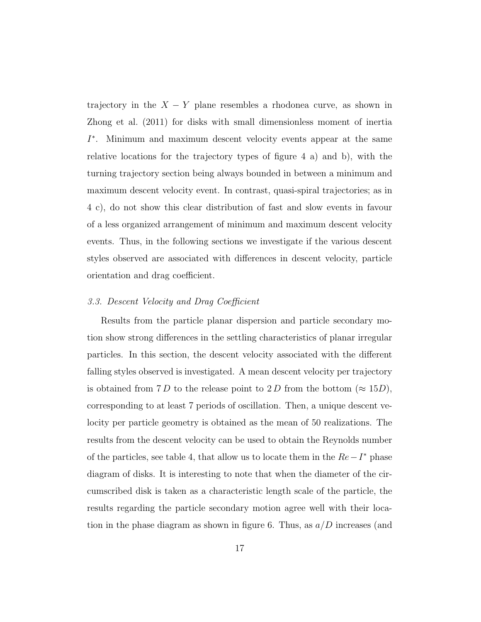trajectory in the  $X - Y$  plane resembles a rhodonea curve, as shown in Zhong et al. (2011) for disks with small dimensionless moment of inertia I ∗ . Minimum and maximum descent velocity events appear at the same relative locations for the trajectory types of figure 4 a) and b), with the turning trajectory section being always bounded in between a minimum and maximum descent velocity event. In contrast, quasi-spiral trajectories; as in 4 c), do not show this clear distribution of fast and slow events in favour of a less organized arrangement of minimum and maximum descent velocity events. Thus, in the following sections we investigate if the various descent styles observed are associated with differences in descent velocity, particle orientation and drag coefficient.

#### 3.3. Descent Velocity and Drag Coefficient

Results from the particle planar dispersion and particle secondary motion show strong differences in the settling characteristics of planar irregular particles. In this section, the descent velocity associated with the different falling styles observed is investigated. A mean descent velocity per trajectory is obtained from 7 D to the release point to 2 D from the bottom ( $\approx 15D$ ), corresponding to at least 7 periods of oscillation. Then, a unique descent velocity per particle geometry is obtained as the mean of 50 realizations. The results from the descent velocity can be used to obtain the Reynolds number of the particles, see table 4, that allow us to locate them in the  $Re-I^*$  phase diagram of disks. It is interesting to note that when the diameter of the circumscribed disk is taken as a characteristic length scale of the particle, the results regarding the particle secondary motion agree well with their location in the phase diagram as shown in figure 6. Thus, as  $a/D$  increases (and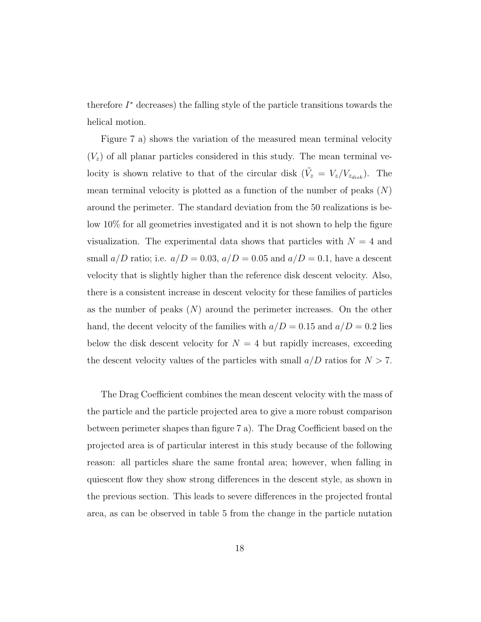therefore  $I^*$  decreases) the falling style of the particle transitions towards the helical motion.

Figure 7 a) shows the variation of the measured mean terminal velocity  $(V<sub>z</sub>)$  of all planar particles considered in this study. The mean terminal velocity is shown relative to that of the circular disk  $(\tilde{V}_z = V_z/V_{z_{disk}})$ . The mean terminal velocity is plotted as a function of the number of peaks  $(N)$ around the perimeter. The standard deviation from the 50 realizations is below 10% for all geometries investigated and it is not shown to help the figure visualization. The experimental data shows that particles with  $N = 4$  and small  $a/D$  ratio; i.e.  $a/D = 0.03$ ,  $a/D = 0.05$  and  $a/D = 0.1$ , have a descent velocity that is slightly higher than the reference disk descent velocity. Also, there is a consistent increase in descent velocity for these families of particles as the number of peaks  $(N)$  around the perimeter increases. On the other hand, the decent velocity of the families with  $a/D = 0.15$  and  $a/D = 0.2$  lies below the disk descent velocity for  $N = 4$  but rapidly increases, exceeding the descent velocity values of the particles with small  $a/D$  ratios for  $N > 7$ .

The Drag Coefficient combines the mean descent velocity with the mass of the particle and the particle projected area to give a more robust comparison between perimeter shapes than figure 7 a). The Drag Coefficient based on the projected area is of particular interest in this study because of the following reason: all particles share the same frontal area; however, when falling in quiescent flow they show strong differences in the descent style, as shown in the previous section. This leads to severe differences in the projected frontal area, as can be observed in table 5 from the change in the particle nutation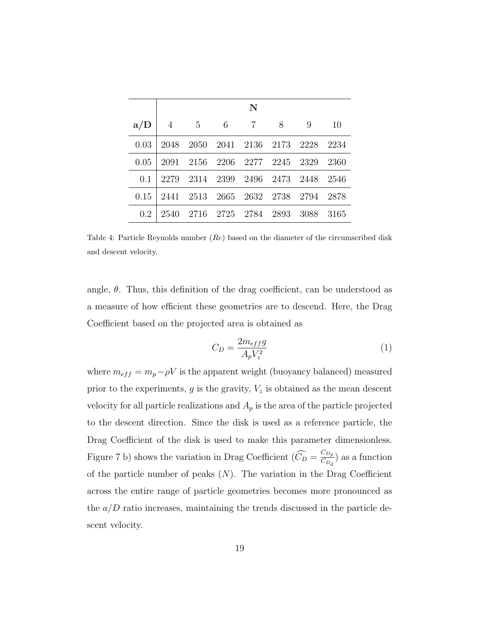|      | N    |                               |                |                |                          |      |        |  |  |
|------|------|-------------------------------|----------------|----------------|--------------------------|------|--------|--|--|
| a/D  | 4    | $5\,$                         | -6             | $\overline{7}$ | 8                        | 9    | 10     |  |  |
| 0.03 | 2048 | 2050                          |                |                | 2041 2136 2173 2228 2234 |      |        |  |  |
| 0.05 | 2091 | 2156 2206 2277 2245 2329      |                |                |                          |      | - 2360 |  |  |
| 0.1  | 2279 | 2314 2399 2496 2473 2448 2546 |                |                |                          |      |        |  |  |
| 0.15 | 2441 | 2513                          |                |                | 2665 2632 2738 2794      |      | - 2878 |  |  |
| 0.2  | 2540 | 2716                          | 2725 2784 2893 |                |                          | 3088 | 3165   |  |  |

Table 4: Particle Reynolds number  $(Re)$  based on the diameter of the circumscribed disk and descent velocity.

angle,  $\theta$ . Thus, this definition of the drag coefficient, can be understood as a measure of how efficient these geometries are to descend. Here, the Drag Coefficient based on the projected area is obtained as

$$
C_D = \frac{2m_{eff}g}{A_p V_z^2} \tag{1}
$$

where  $m_{eff} = m_p - \rho V$  is the apparent weight (buoyancy balanced) measured prior to the experiments,  $g$  is the gravity,  $V_z$  is obtained as the mean descent velocity for all particle realizations and  $A_p$  is the area of the particle projected to the descent direction. Since the disk is used as a reference particle, the Drag Coefficient of the disk is used to make this parameter dimensionless. Figure 7 b) shows the variation in Drag Coefficient  $(\widehat{C}_D = \frac{C_{D_p}}{C_{D_d}})$  $\frac{CD_p}{CD_d}$ ) as a function of the particle number of peaks  $(N)$ . The variation in the Drag Coefficient across the entire range of particle geometries becomes more pronounced as the  $a/D$  ratio increases, maintaining the trends discussed in the particle descent velocity.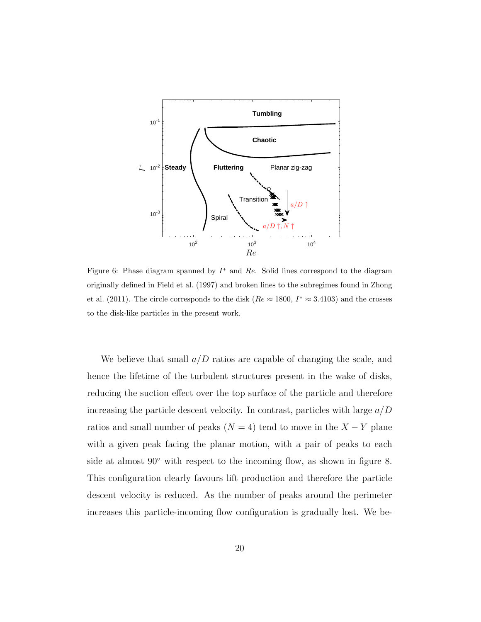

Figure 6: Phase diagram spanned by  $I^*$  and  $Re$ . Solid lines correspond to the diagram originally defined in Field et al. (1997) and broken lines to the subregimes found in Zhong et al. (2011). The circle corresponds to the disk  $(Re \approx 1800, I^* \approx 3.4103)$  and the crosses to the disk-like particles in the present work.

We believe that small  $a/D$  ratios are capable of changing the scale, and hence the lifetime of the turbulent structures present in the wake of disks, reducing the suction effect over the top surface of the particle and therefore increasing the particle descent velocity. In contrast, particles with large  $a/D$ ratios and small number of peaks ( $N = 4$ ) tend to move in the  $X - Y$  plane with a given peak facing the planar motion, with a pair of peaks to each side at almost  $90°$  with respect to the incoming flow, as shown in figure 8. This configuration clearly favours lift production and therefore the particle descent velocity is reduced. As the number of peaks around the perimeter increases this particle-incoming flow configuration is gradually lost. We be-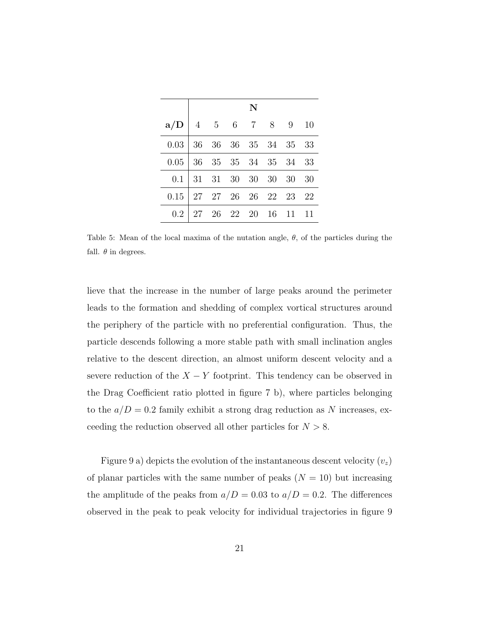|         | N                 |      |       |             |    |     |     |  |  |
|---------|-------------------|------|-------|-------------|----|-----|-----|--|--|
| a/D     | $\overline{4}$    |      |       | 5 6 7       | 8  | - 9 | -10 |  |  |
| 0.03    | 36                | 36   |       | 36 35 34 35 |    |     | 33  |  |  |
| $0.05$  | 36                | 35   |       | 35 34 35 34 |    |     | 33  |  |  |
| 0.1     | 31                | 31   | - 30  | 30 30       |    | 30  | 30  |  |  |
| 0.15    | 27 27 26 26 22 23 |      |       |             |    |     | 22  |  |  |
| $0.2\,$ | $\perp$ 27        | - 26 | 22 20 |             | 16 | 11  | 11  |  |  |

Table 5: Mean of the local maxima of the nutation angle,  $\theta$ , of the particles during the fall.  $\theta$  in degrees.

lieve that the increase in the number of large peaks around the perimeter leads to the formation and shedding of complex vortical structures around the periphery of the particle with no preferential configuration. Thus, the particle descends following a more stable path with small inclination angles relative to the descent direction, an almost uniform descent velocity and a severe reduction of the  $X - Y$  footprint. This tendency can be observed in the Drag Coefficient ratio plotted in figure 7 b), where particles belonging to the  $a/D = 0.2$  family exhibit a strong drag reduction as N increases, exceeding the reduction observed all other particles for  $N > 8$ .

Figure 9 a) depicts the evolution of the instantaneous descent velocity  $(v_z)$ of planar particles with the same number of peaks  $(N = 10)$  but increasing the amplitude of the peaks from  $a/D = 0.03$  to  $a/D = 0.2$ . The differences observed in the peak to peak velocity for individual trajectories in figure 9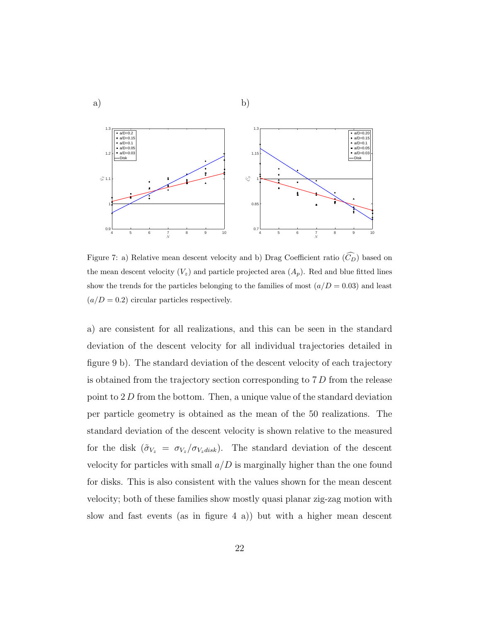

Figure 7: a) Relative mean descent velocity and b) Drag Coefficient ratio  $(\widehat{C}_D)$  based on the mean descent velocity  $(V_z)$  and particle projected area  $(A_p)$ . Red and blue fitted lines show the trends for the particles belonging to the families of most  $(a/D = 0.03)$  and least  $(a/D = 0.2)$  circular particles respectively.

a) are consistent for all realizations, and this can be seen in the standard deviation of the descent velocity for all individual trajectories detailed in figure 9 b). The standard deviation of the descent velocity of each trajectory is obtained from the trajectory section corresponding to 7 D from the release point to 2 D from the bottom. Then, a unique value of the standard deviation per particle geometry is obtained as the mean of the 50 realizations. The standard deviation of the descent velocity is shown relative to the measured for the disk  $(\tilde{\sigma}_{V_z} = \sigma_{V_z}/\sigma_{V_z disk})$ . The standard deviation of the descent velocity for particles with small  $a/D$  is marginally higher than the one found for disks. This is also consistent with the values shown for the mean descent velocity; both of these families show mostly quasi planar zig-zag motion with slow and fast events (as in figure 4 a)) but with a higher mean descent

b)

a)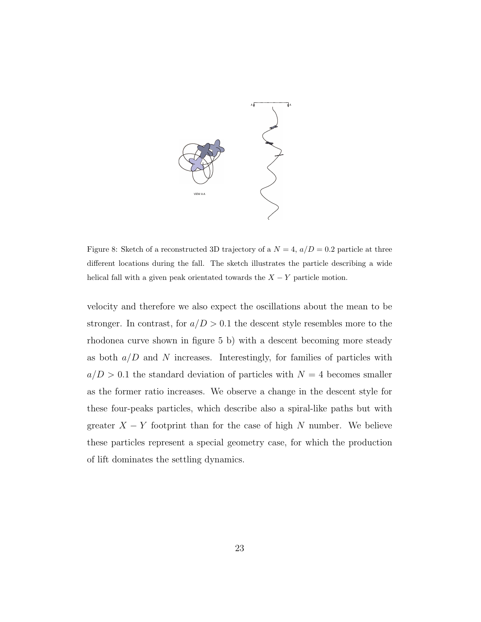

Figure 8: Sketch of a reconstructed 3D trajectory of a  $N = 4$ ,  $a/D = 0.2$  particle at three different locations during the fall. The sketch illustrates the particle describing a wide helical fall with a given peak orientated towards the  $X - Y$  particle motion.

velocity and therefore we also expect the oscillations about the mean to be stronger. In contrast, for  $a/D > 0.1$  the descent style resembles more to the rhodonea curve shown in figure 5 b) with a descent becoming more steady as both  $a/D$  and N increases. Interestingly, for families of particles with  $a/D > 0.1$  the standard deviation of particles with  $N = 4$  becomes smaller as the former ratio increases. We observe a change in the descent style for these four-peaks particles, which describe also a spiral-like paths but with greater  $X - Y$  footprint than for the case of high N number. We believe these particles represent a special geometry case, for which the production of lift dominates the settling dynamics.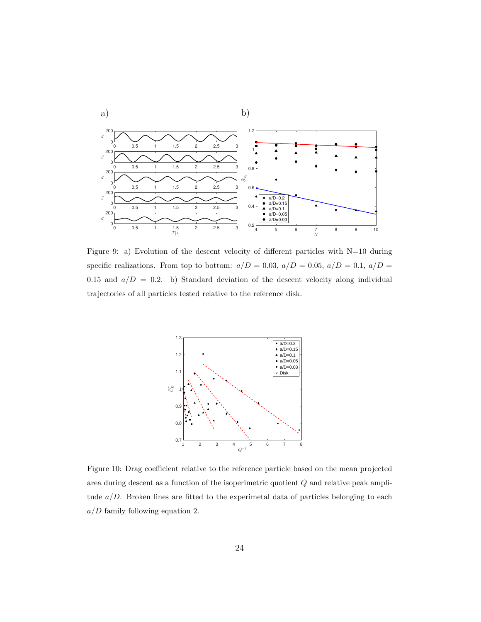

Figure 9: a) Evolution of the descent velocity of different particles with  $N=10$  during specific realizations. From top to bottom:  $a/D = 0.03$ ,  $a/D = 0.05$ ,  $a/D = 0.1$ ,  $a/D = 0.5$ 0.15 and  $a/D = 0.2$ . b) Standard deviation of the descent velocity along individual trajectories of all particles tested relative to the reference disk.



Figure 10: Drag coefficient relative to the reference particle based on the mean projected area during descent as a function of the isoperimetric quotient Q and relative peak amplitude  $a/D$ . Broken lines are fitted to the experimetal data of particles belonging to each  $a/D$  family following equation 2.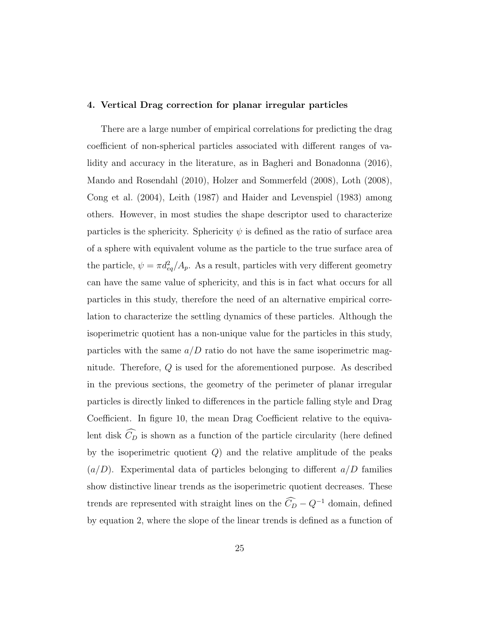# 4. Vertical Drag correction for planar irregular particles

There are a large number of empirical correlations for predicting the drag coefficient of non-spherical particles associated with different ranges of validity and accuracy in the literature, as in Bagheri and Bonadonna (2016), Mando and Rosendahl (2010), Holzer and Sommerfeld (2008), Loth (2008), Cong et al. (2004), Leith (1987) and Haider and Levenspiel (1983) among others. However, in most studies the shape descriptor used to characterize particles is the sphericity. Sphericity  $\psi$  is defined as the ratio of surface area of a sphere with equivalent volume as the particle to the true surface area of the particle,  $\psi = \pi d_{eq}^2 / A_p$ . As a result, particles with very different geometry can have the same value of sphericity, and this is in fact what occurs for all particles in this study, therefore the need of an alternative empirical correlation to characterize the settling dynamics of these particles. Although the isoperimetric quotient has a non-unique value for the particles in this study, particles with the same  $a/D$  ratio do not have the same isoperimetric magnitude. Therefore, Q is used for the aforementioned purpose. As described in the previous sections, the geometry of the perimeter of planar irregular particles is directly linked to differences in the particle falling style and Drag Coefficient. In figure 10, the mean Drag Coefficient relative to the equivalent disk  $\widehat{C}_D$  is shown as a function of the particle circularity (here defined by the isoperimetric quotient  $Q$ ) and the relative amplitude of the peaks  $(a/D)$ . Experimental data of particles belonging to different  $a/D$  families show distinctive linear trends as the isoperimetric quotient decreases. These trends are represented with straight lines on the  $\widehat{C}_D - Q^{-1}$  domain, defined by equation 2, where the slope of the linear trends is defined as a function of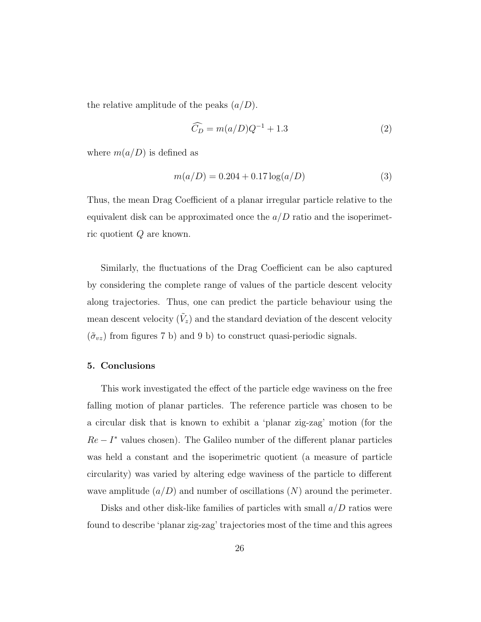the relative amplitude of the peaks  $(a/D)$ .

$$
\widehat{C}_D = m(a/D)Q^{-1} + 1.3\tag{2}
$$

where  $m(a/D)$  is defined as

$$
m(a/D) = 0.204 + 0.17 \log(a/D)
$$
\n(3)

Thus, the mean Drag Coefficient of a planar irregular particle relative to the equivalent disk can be approximated once the  $a/D$  ratio and the isoperimetric quotient Q are known.

Similarly, the fluctuations of the Drag Coefficient can be also captured by considering the complete range of values of the particle descent velocity along trajectories. Thus, one can predict the particle behaviour using the mean descent velocity  $(\tilde{V}_z)$  and the standard deviation of the descent velocity  $(\tilde{\sigma}_{vz})$  from figures 7 b) and 9 b) to construct quasi-periodic signals.

## 5. Conclusions

This work investigated the effect of the particle edge waviness on the free falling motion of planar particles. The reference particle was chosen to be a circular disk that is known to exhibit a 'planar zig-zag' motion (for the  $Re - I^*$  values chosen). The Galileo number of the different planar particles was held a constant and the isoperimetric quotient (a measure of particle circularity) was varied by altering edge waviness of the particle to different wave amplitude  $(a/D)$  and number of oscillations  $(N)$  around the perimeter.

Disks and other disk-like families of particles with small  $a/D$  ratios were found to describe 'planar zig-zag' trajectories most of the time and this agrees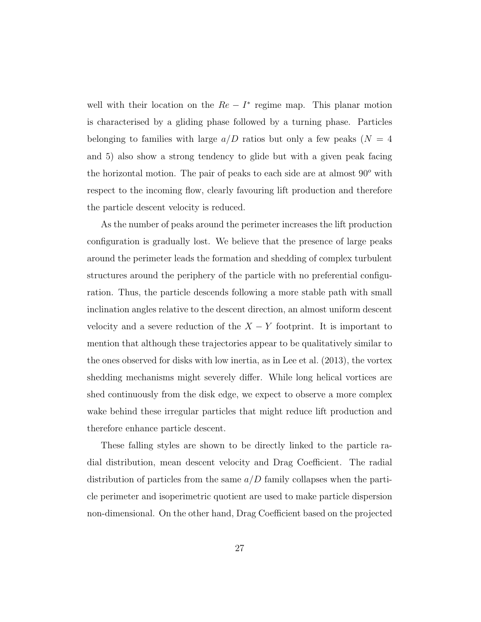well with their location on the  $Re - I^*$  regime map. This planar motion is characterised by a gliding phase followed by a turning phase. Particles belonging to families with large  $a/D$  ratios but only a few peaks  $(N = 4)$ and 5) also show a strong tendency to glide but with a given peak facing the horizontal motion. The pair of peaks to each side are at almost  $90^{\circ}$  with respect to the incoming flow, clearly favouring lift production and therefore the particle descent velocity is reduced.

As the number of peaks around the perimeter increases the lift production configuration is gradually lost. We believe that the presence of large peaks around the perimeter leads the formation and shedding of complex turbulent structures around the periphery of the particle with no preferential configuration. Thus, the particle descends following a more stable path with small inclination angles relative to the descent direction, an almost uniform descent velocity and a severe reduction of the  $X - Y$  footprint. It is important to mention that although these trajectories appear to be qualitatively similar to the ones observed for disks with low inertia, as in Lee et al. (2013), the vortex shedding mechanisms might severely differ. While long helical vortices are shed continuously from the disk edge, we expect to observe a more complex wake behind these irregular particles that might reduce lift production and therefore enhance particle descent.

These falling styles are shown to be directly linked to the particle radial distribution, mean descent velocity and Drag Coefficient. The radial distribution of particles from the same  $a/D$  family collapses when the particle perimeter and isoperimetric quotient are used to make particle dispersion non-dimensional. On the other hand, Drag Coefficient based on the projected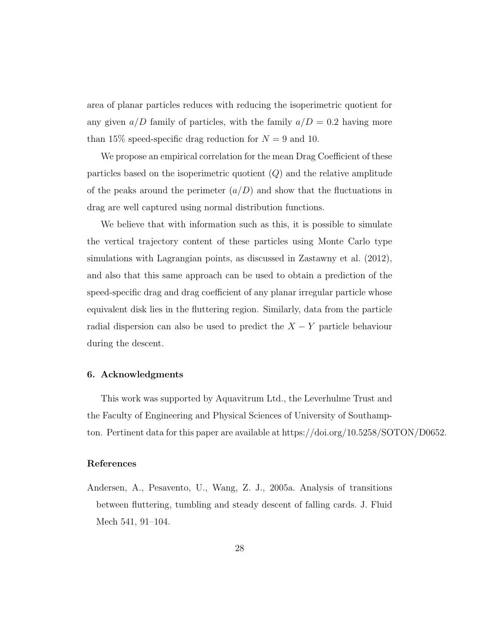area of planar particles reduces with reducing the isoperimetric quotient for any given  $a/D$  family of particles, with the family  $a/D = 0.2$  having more than 15% speed-specific drag reduction for  $N = 9$  and 10.

We propose an empirical correlation for the mean Drag Coefficient of these particles based on the isoperimetric quotient  $(Q)$  and the relative amplitude of the peaks around the perimeter  $(a/D)$  and show that the fluctuations in drag are well captured using normal distribution functions.

We believe that with information such as this, it is possible to simulate the vertical trajectory content of these particles using Monte Carlo type simulations with Lagrangian points, as discussed in Zastawny et al. (2012), and also that this same approach can be used to obtain a prediction of the speed-specific drag and drag coefficient of any planar irregular particle whose equivalent disk lies in the fluttering region. Similarly, data from the particle radial dispersion can also be used to predict the  $X - Y$  particle behaviour during the descent.

# 6. Acknowledgments

This work was supported by Aquavitrum Ltd., the Leverhulme Trust and the Faculty of Engineering and Physical Sciences of University of Southampton. Pertinent data for this paper are available at https://doi.org/10.5258/SOTON/D0652.

## References

Andersen, A., Pesavento, U., Wang, Z. J., 2005a. Analysis of transitions between fluttering, tumbling and steady descent of falling cards. J. Fluid Mech 541, 91–104.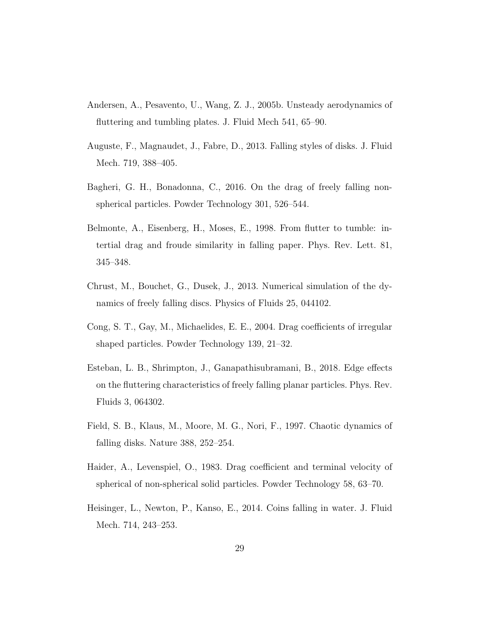- Andersen, A., Pesavento, U., Wang, Z. J., 2005b. Unsteady aerodynamics of fluttering and tumbling plates. J. Fluid Mech 541, 65–90.
- Auguste, F., Magnaudet, J., Fabre, D., 2013. Falling styles of disks. J. Fluid Mech. 719, 388–405.
- Bagheri, G. H., Bonadonna, C., 2016. On the drag of freely falling nonspherical particles. Powder Technology 301, 526–544.
- Belmonte, A., Eisenberg, H., Moses, E., 1998. From flutter to tumble: intertial drag and froude similarity in falling paper. Phys. Rev. Lett. 81, 345–348.
- Chrust, M., Bouchet, G., Dusek, J., 2013. Numerical simulation of the dynamics of freely falling discs. Physics of Fluids 25, 044102.
- Cong, S. T., Gay, M., Michaelides, E. E., 2004. Drag coefficients of irregular shaped particles. Powder Technology 139, 21–32.
- Esteban, L. B., Shrimpton, J., Ganapathisubramani, B., 2018. Edge effects on the fluttering characteristics of freely falling planar particles. Phys. Rev. Fluids 3, 064302.
- Field, S. B., Klaus, M., Moore, M. G., Nori, F., 1997. Chaotic dynamics of falling disks. Nature 388, 252–254.
- Haider, A., Levenspiel, O., 1983. Drag coefficient and terminal velocity of spherical of non-spherical solid particles. Powder Technology 58, 63–70.
- Heisinger, L., Newton, P., Kanso, E., 2014. Coins falling in water. J. Fluid Mech. 714, 243–253.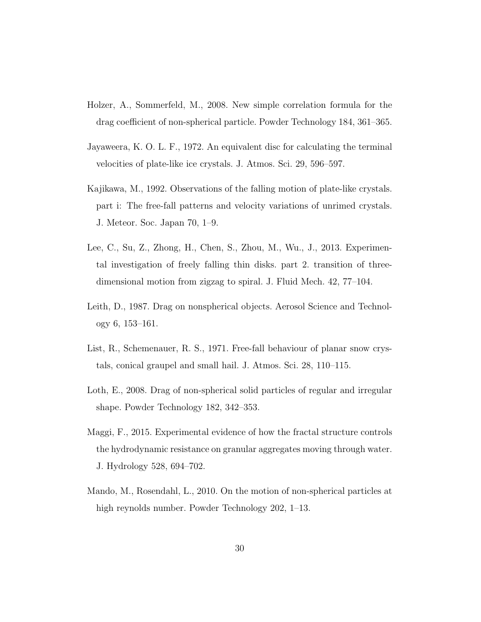- Holzer, A., Sommerfeld, M., 2008. New simple correlation formula for the drag coefficient of non-spherical particle. Powder Technology 184, 361–365.
- Jayaweera, K. O. L. F., 1972. An equivalent disc for calculating the terminal velocities of plate-like ice crystals. J. Atmos. Sci. 29, 596–597.
- Kajikawa, M., 1992. Observations of the falling motion of plate-like crystals. part i: The free-fall patterns and velocity variations of unrimed crystals. J. Meteor. Soc. Japan 70, 1–9.
- Lee, C., Su, Z., Zhong, H., Chen, S., Zhou, M., Wu., J., 2013. Experimental investigation of freely falling thin disks. part 2. transition of threedimensional motion from zigzag to spiral. J. Fluid Mech. 42, 77–104.
- Leith, D., 1987. Drag on nonspherical objects. Aerosol Science and Technology 6, 153–161.
- List, R., Schemenauer, R. S., 1971. Free-fall behaviour of planar snow crystals, conical graupel and small hail. J. Atmos. Sci. 28, 110–115.
- Loth, E., 2008. Drag of non-spherical solid particles of regular and irregular shape. Powder Technology 182, 342–353.
- Maggi, F., 2015. Experimental evidence of how the fractal structure controls the hydrodynamic resistance on granular aggregates moving through water. J. Hydrology 528, 694–702.
- Mando, M., Rosendahl, L., 2010. On the motion of non-spherical particles at high reynolds number. Powder Technology 202, 1–13.